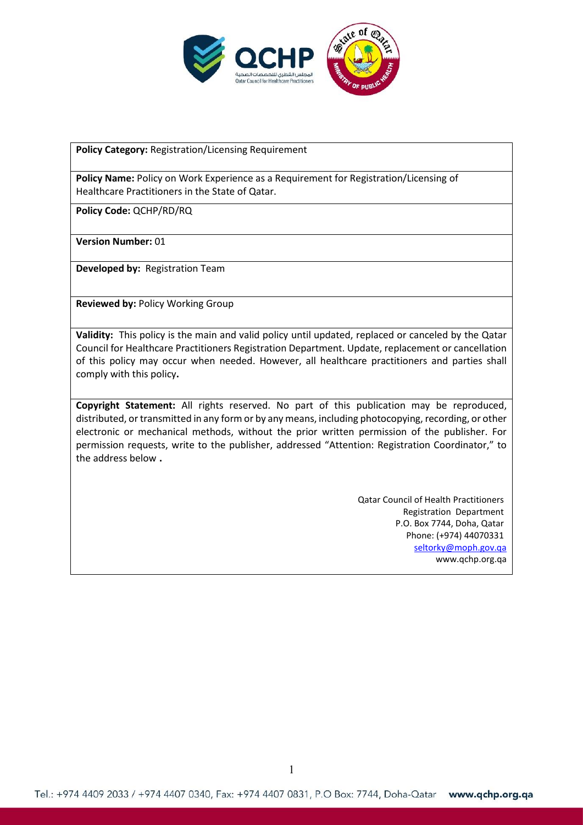

**Policy Category:** Registration/Licensing Requirement

**Policy Name:** Policy on Work Experience as a Requirement for Registration/Licensing of Healthcare Practitioners in the State of Qatar.

**Policy Code:** QCHP/RD/RQ

**Version Number:** 01

**Developed by:** Registration Team

**Reviewed by:** Policy Working Group

**Validity:** This policy is the main and valid policy until updated, replaced or canceled by the Qatar Council for Healthcare Practitioners Registration Department. Update, replacement or cancellation of this policy may occur when needed. However, all healthcare practitioners and parties shall comply with this policy**.**

**Copyright Statement:** All rights reserved. No part of this publication may be reproduced, distributed, or transmitted in any form or by any means, including photocopying, recording, or other electronic or mechanical methods, without the prior written permission of the publisher. For permission requests, write to the publisher, addressed "Attention: Registration Coordinator," to the address below **.**

> Qatar Council of Health Practitioners Registration Department P.O. Box 7744, Doha, Qatar Phone: (+974) 44070331 [seltorky@moph.gov.qa](mailto:seltorky@moph.gov.qa) www.qchp.org.qa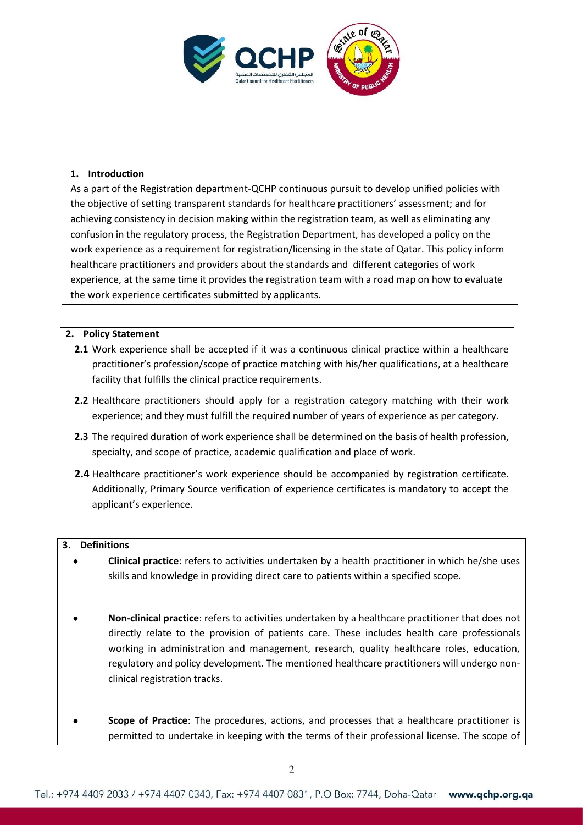

# **1. Introduction**

As a part of the Registration department-QCHP continuous pursuit to develop unified policies with the objective of setting transparent standards for healthcare practitioners' assessment; and for achieving consistency in decision making within the registration team, as well as eliminating any confusion in the regulatory process, the Registration Department, has developed a policy on the work experience as a requirement for registration/licensing in the state of Qatar. This policy inform healthcare practitioners and providers about the standards and different categories of work experience, at the same time it provides the registration team with a road map on how to evaluate the work experience certificates submitted by applicants.

# **2. Policy Statement**

- **2.1** Work experience shall be accepted if it was a continuous clinical practice within a healthcare practitioner's profession/scope of practice matching with his/her qualifications, at a healthcare facility that fulfills the clinical practice requirements.
- **2.2** Healthcare practitioners should apply for a registration category matching with their work experience; and they must fulfill the required number of years of experience as per category.
- **2.3** The required duration of work experience shall be determined on the basis of health profession, specialty, and scope of practice, academic qualification and place of work.
- **2.4** Healthcare practitioner's work experience should be accompanied by registration certificate. Additionally, Primary Source verification of experience certificates is mandatory to accept the applicant's experience.

#### **3. Definitions**

- **Clinical practice**: refers to activities undertaken by a health practitioner in which he/she uses skills and knowledge in providing direct care to patients within a specified scope.
- **Non-clinical practice**: refers to activities undertaken by a healthcare practitioner that does not directly relate to the provision of patients care. These includes health care professionals working in administration and management, research, quality healthcare roles, education, regulatory and policy development. The mentioned healthcare practitioners will undergo nonclinical registration tracks.
- **Scope of Practice**: The procedures, actions, and processes that a healthcare practitioner is permitted to undertake in keeping with the terms of their professional license. The scope of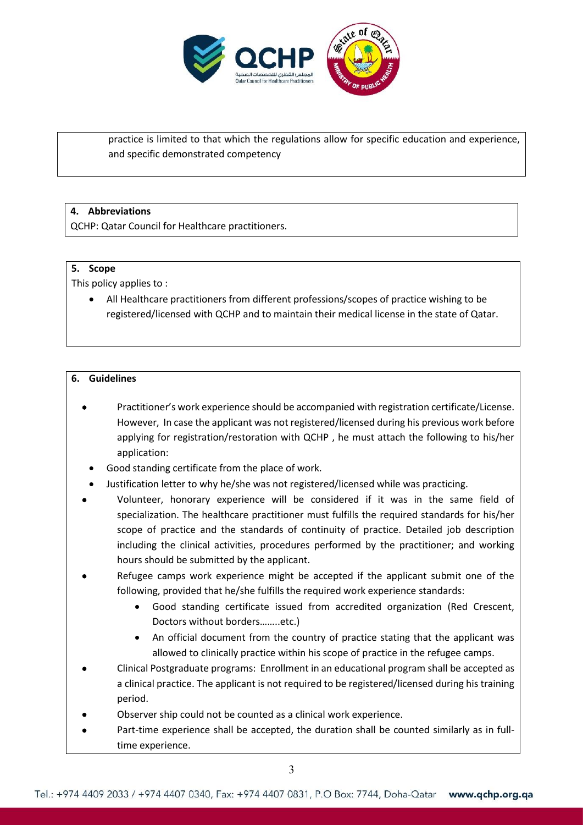

practice is limited to that which the regulations allow for specific education and experience, and specific demonstrated competency

# **4. Abbreviations**

QCHP: Qatar Council for Healthcare practitioners.

#### **5. Scope**

This policy applies to :

 All Healthcare practitioners from different professions/scopes of practice wishing to be registered/licensed with QCHP and to maintain their medical license in the state of Qatar.

# **6. Guidelines**

- Practitioner's work experience should be accompanied with registration certificate/License. However, In case the applicant was not registered/licensed during his previous work before applying for registration/restoration with QCHP , he must attach the following to his/her application:
	- Good standing certificate from the place of work.
- Justification letter to why he/she was not registered/licensed while was practicing.
- Volunteer, honorary experience will be considered if it was in the same field of specialization. The healthcare practitioner must fulfills the required standards for his/her scope of practice and the standards of continuity of practice. Detailed job description including the clinical activities, procedures performed by the practitioner; and working hours should be submitted by the applicant.
- Refugee camps work experience might be accepted if the applicant submit one of the following, provided that he/she fulfills the required work experience standards:
	- Good standing certificate issued from accredited organization (Red Crescent, Doctors without borders……..etc.)
	- An official document from the country of practice stating that the applicant was allowed to clinically practice within his scope of practice in the refugee camps.
- Clinical Postgraduate programs: Enrollment in an educational program shall be accepted as a clinical practice. The applicant is not required to be registered/licensed during his training period.
- Observer ship could not be counted as a clinical work experience.
- Part-time experience shall be accepted, the duration shall be counted similarly as in fulltime experience.